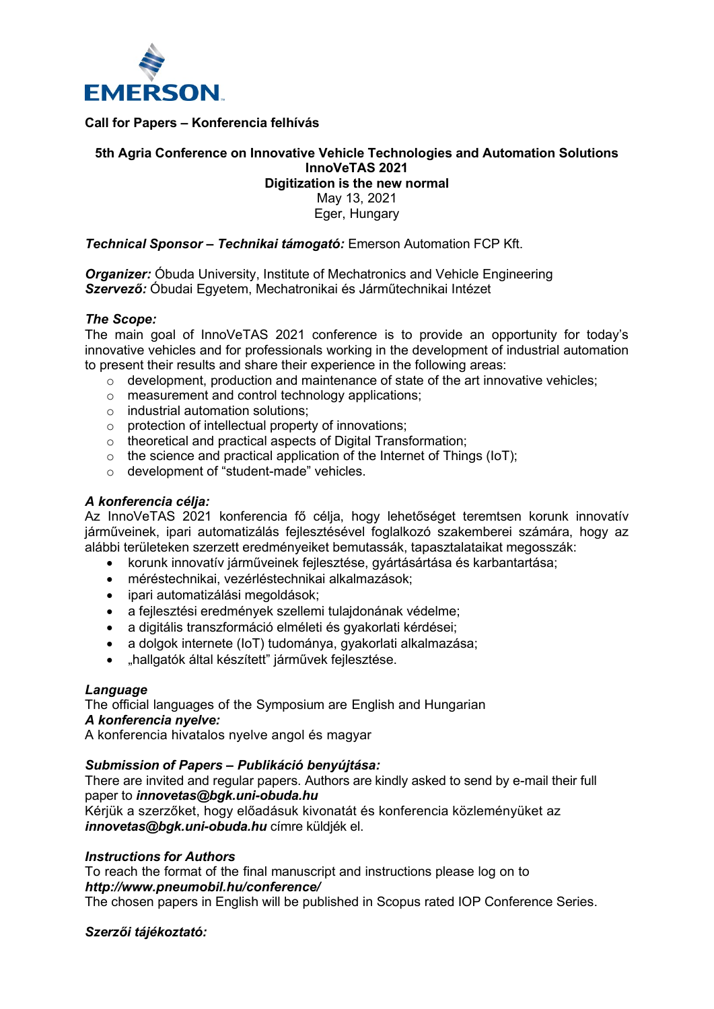

**Call for Papers – Konferencia felhívás**

# **5th Agria Conference on Innovative Vehicle Technologies and Automation Solutions InnoVeTAS 2021**

# **Digitization is the new normal**

May 13, 2021 Eger, Hungary

*Technical Sponsor – Technikai támogató:* Emerson Automation FCP Kft.

*Organizer:* Óbuda University, Institute of Mechatronics and Vehicle Engineering *Szervező:* Óbudai Egyetem, Mechatronikai és Járműtechnikai Intézet

## *The Scope:*

The main goal of InnoVeTAS 2021 conference is to provide an opportunity for today's innovative vehicles and for professionals working in the development of industrial automation to present their results and share their experience in the following areas:

- o development, production and maintenance of state of the art innovative vehicles;
- o measurement and control technology applications;
- $\circ$  industrial automation solutions:
- o protection of intellectual property of innovations;
- $\circ$  theoretical and practical aspects of Digital Transformation:
- $\circ$  the science and practical application of the Internet of Things (IoT);
- o development of "student-made" vehicles.

## *A konferencia célja:*

Az InnoVeTAS 2021 konferencia fő célja, hogy lehetőséget teremtsen korunk innovatív járműveinek, ipari automatizálás fejlesztésével foglalkozó szakemberei számára, hogy az alábbi területeken szerzett eredményeiket bemutassák, tapasztalataikat megosszák:

- korunk innovatív járműveinek fejlesztése, gyártásártása és karbantartása;
- méréstechnikai, vezérléstechnikai alkalmazások;
- ipari automatizálási megoldások;
- a fejlesztési eredmények szellemi tulajdonának védelme;
- a digitális transzformáció elméleti és gyakorlati kérdései;
- a dolgok internete (IoT) tudománya, gyakorlati alkalmazása;
- "hallgatók által készített" járművek fejlesztése.

### *Language*

The official languages of the Symposium are English and Hungarian

## *A konferencia nyelve:*

A konferencia hivatalos nyelve angol és magyar

# *Submission of Papers – Publikáció benyújtása:*

There are invited and regular papers. Authors are kindly asked to send by e-mail their full paper to *innovetas@bgk.uni-obuda.hu*

Kérjük a szerzőket, hogy előadásuk kivonatát és konferencia közleményüket az *innovetas@bgk.uni-obuda.hu* címre küldjék el.

### *Instructions for Authors*

To reach the format of the final manuscript and instructions please log on to *http://www.pneumobil.hu/conference/*

The chosen papers in English will be published in Scopus rated IOP Conference Series.

### *Szerzői tájékoztató:*